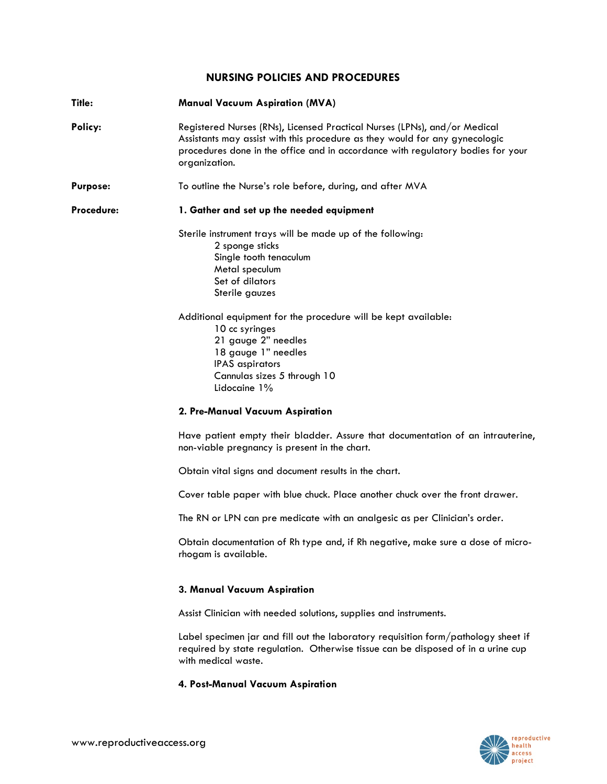## **NURSING POLICIES AND PROCEDURES**

| Title:          | <b>Manual Vacuum Aspiration (MVA)</b>                                                                                                                                                                                                                                                                                                                                        |
|-----------------|------------------------------------------------------------------------------------------------------------------------------------------------------------------------------------------------------------------------------------------------------------------------------------------------------------------------------------------------------------------------------|
| Policy:         | Registered Nurses (RNs), Licensed Practical Nurses (LPNs), and/or Medical<br>Assistants may assist with this procedure as they would for any gynecologic<br>procedures done in the office and in accordance with regulatory bodies for your<br>organization.                                                                                                                 |
| <b>Purpose:</b> | To outline the Nurse's role before, during, and after MVA                                                                                                                                                                                                                                                                                                                    |
| Procedure:      | 1. Gather and set up the needed equipment                                                                                                                                                                                                                                                                                                                                    |
|                 | Sterile instrument trays will be made up of the following:<br>2 sponge sticks<br>Single tooth tenaculum<br>Metal speculum<br>Set of dilators<br>Sterile gauzes<br>Additional equipment for the procedure will be kept available:<br>10 cc syringes<br>21 gauge 2" needles<br>18 gauge 1" needles<br><b>IPAS</b> aspirators<br>Cannulas sizes 5 through 10<br>Lidocaine $1\%$ |
|                 | 2. Pre-Manual Vacuum Aspiration                                                                                                                                                                                                                                                                                                                                              |

Have patient empty their bladder. Assure that documentation of an intrauterine, non-viable pregnancy is present in the chart.

Obtain vital signs and document results in the chart.

Cover table paper with blue chuck. Place another chuck over the front drawer.

The RN or LPN can pre medicate with an analgesic as per Clinician's order.

Obtain documentation of Rh type and, if Rh negative, make sure a dose of microrhogam is available.

## **3. Manual Vacuum Aspiration**

Assist Clinician with needed solutions, supplies and instruments.

Label specimen jar and fill out the laboratory requisition form/pathology sheet if required by state regulation. Otherwise tissue can be disposed of in a urine cup with medical waste.

## **4. Post-Manual Vacuum Aspiration**